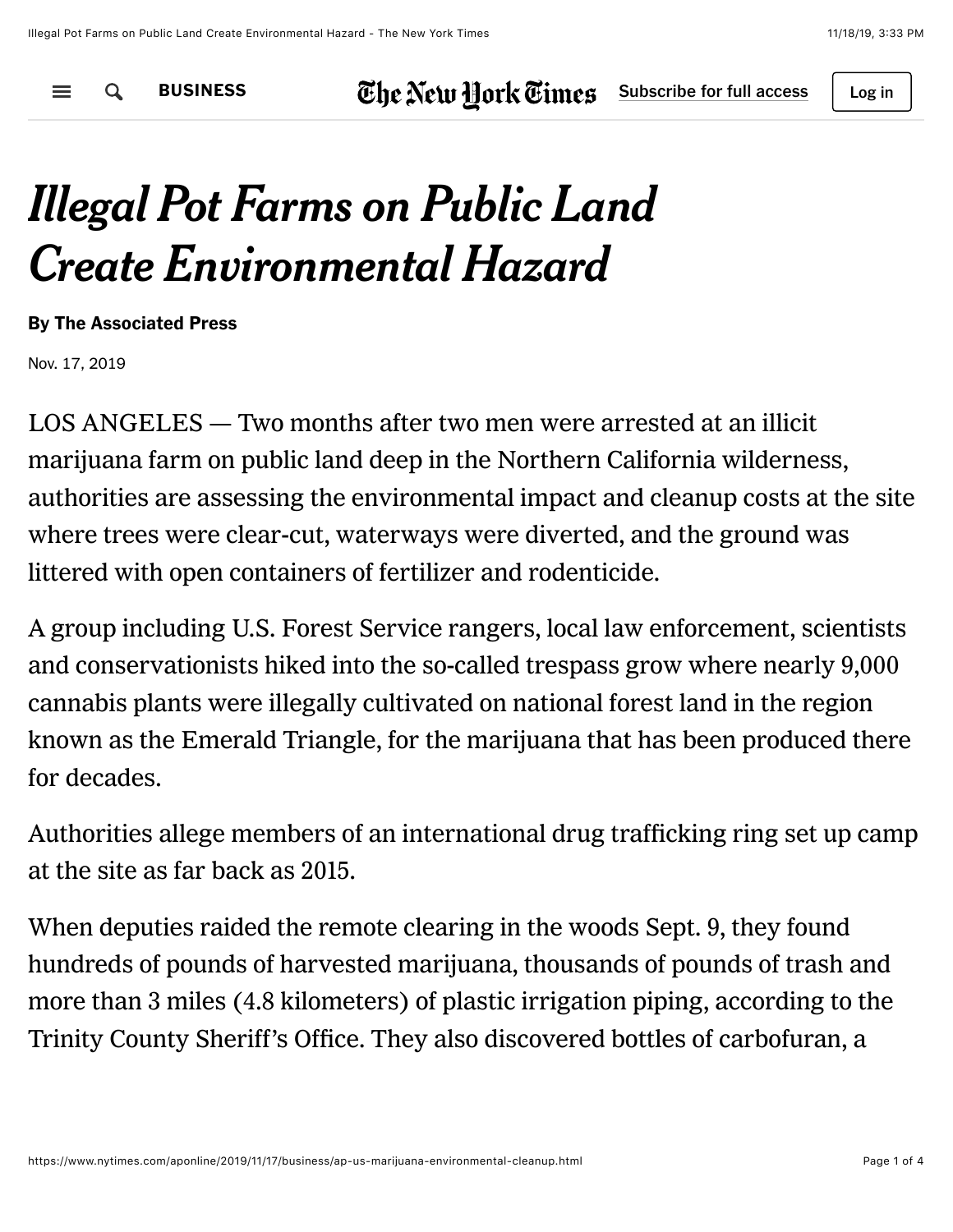$\equiv$ Q

[BUSINESS](https://www.nytimes.com/section/business)  $\mathbf{E}$  be New Hork  $\mathbf{E}$  imes Subscribe [for full access](https://www.nytimes.com/subscription?campaignId=797YR)  $\vert$  Log in

## *Illegal Pot Farms on Public Land Create Environmental Hazard*

By The Associated Press

Nov. 17, 2019

LOS ANGELES — Two months after two men were arrested at an illicit marijuana farm on public land deep in the Northern California wilderness, authorities are assessing the environmental impact and cleanup costs at the site where trees were clear-cut, waterways were diverted, and the ground was littered with open containers of fertilizer and rodenticide.

A group including U.S. Forest Service rangers, local law enforcement, scientists and conservationists hiked into the so-called trespass grow where nearly 9,000 cannabis plants were illegally cultivated on national forest land in the region known as the Emerald Triangle, for the marijuana that has been produced there for decades.

Authorities allege members of an international drug trafficking ring set up camp at the site as far back as 2015.

When deputies raided the remote clearing in the woods Sept. 9, they found hundreds of pounds of harvested marijuana, thousands of pounds of trash and more than 3 miles (4.8 kilometers) of plastic irrigation piping, according to the Trinity County Sheriff's Office. They also discovered bottles of carbofuran, a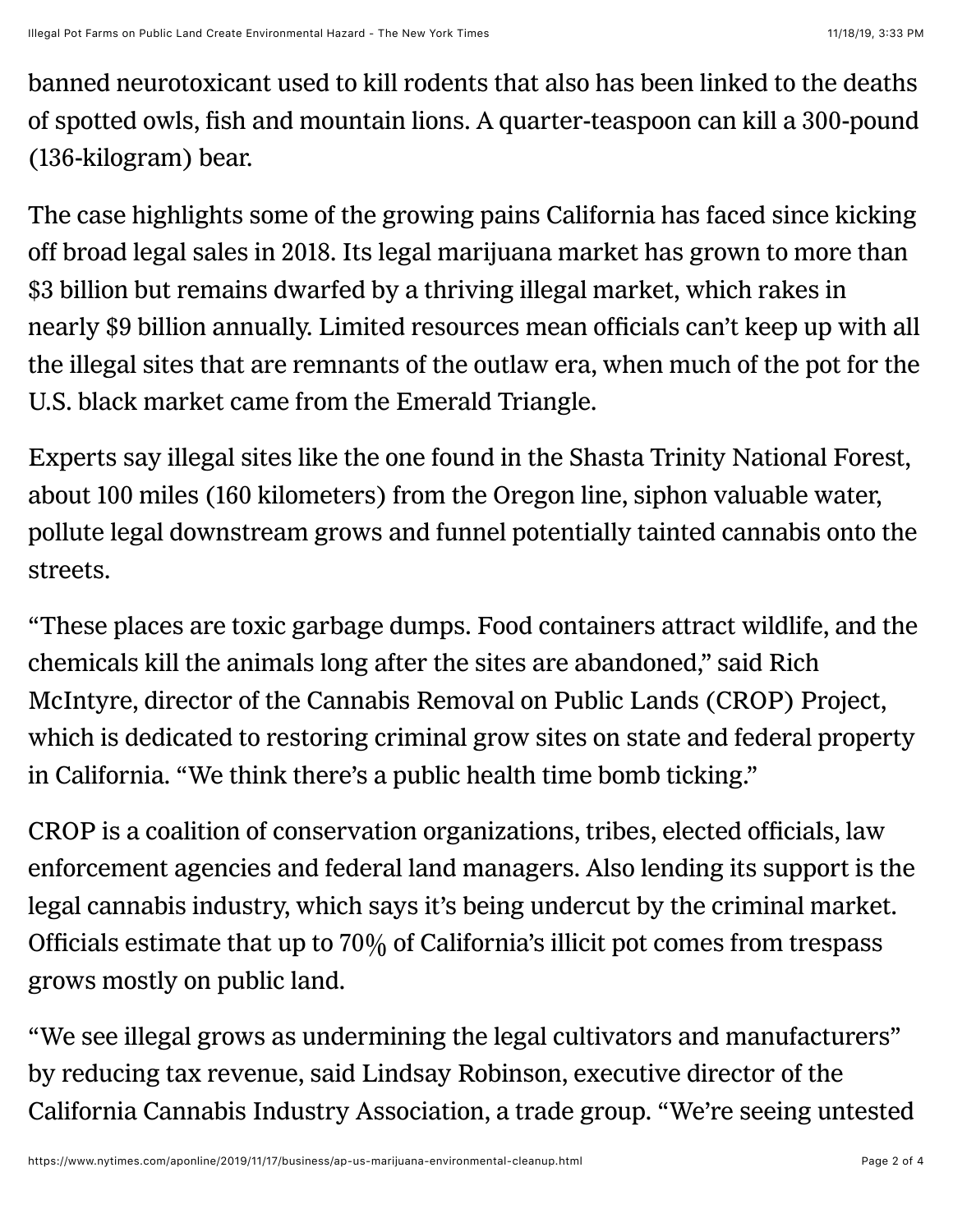banned neurotoxicant used to kill rodents that also has been linked to the deaths of spotted owls, fish and mountain lions. A quarter-teaspoon can kill a 300-pound (136-kilogram) bear.

The case highlights some of the growing pains California has faced since kicking off broad legal sales in 2018. Its legal marijuana market has grown to more than \$3 billion but remains dwarfed by a thriving illegal market, which rakes in nearly \$9 billion annually. Limited resources mean officials can't keep up with all the illegal sites that are remnants of the outlaw era, when much of the pot for the U.S. black market came from the Emerald Triangle.

Experts say illegal sites like the one found in the Shasta Trinity National Forest, about 100 miles (160 kilometers) from the Oregon line, siphon valuable water, pollute legal downstream grows and funnel potentially tainted cannabis onto the streets.

"These places are toxic garbage dumps. Food containers attract wildlife, and the chemicals kill the animals long after the sites are abandoned," said Rich McIntyre, director of the Cannabis Removal on Public Lands (CROP) Project, which is dedicated to restoring criminal grow sites on state and federal property in California. "We think there's a public health time bomb ticking."

CROP is a coalition of conservation organizations, tribes, elected officials, law enforcement agencies and federal land managers. Also lending its support is the legal cannabis industry, which says it's being undercut by the criminal market. Officials estimate that up to  $70\%$  of California's illicit pot comes from trespass grows mostly on public land.

"We see illegal grows as undermining the legal cultivators and manufacturers" by reducing tax revenue, said Lindsay Robinson, executive director of the California Cannabis Industry Association, a trade group. "We're seeing untested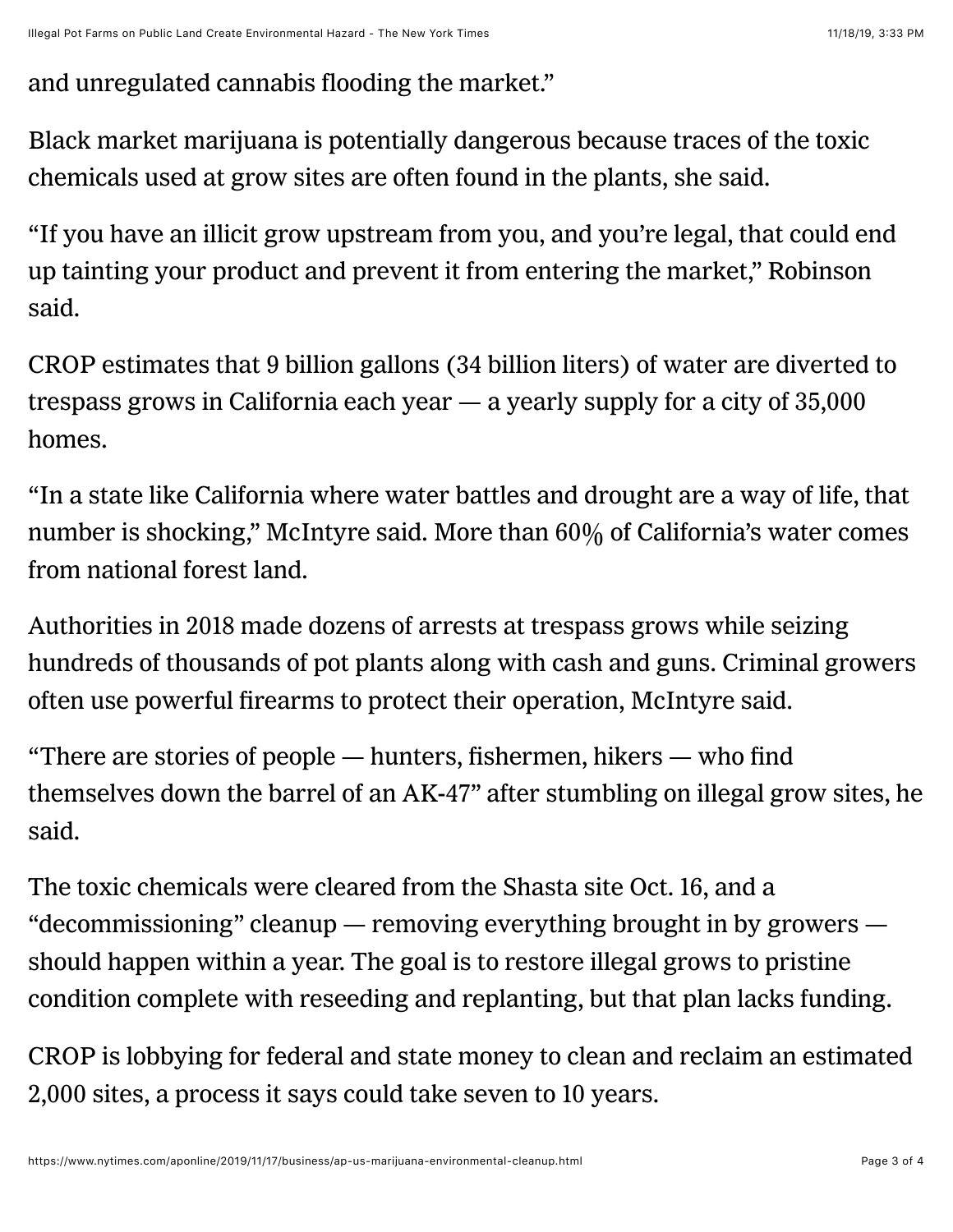and unregulated cannabis flooding the market."

Black market marijuana is potentially dangerous because traces of the toxic chemicals used at grow sites are often found in the plants, she said.

"If you have an illicit grow upstream from you, and you're legal, that could end up tainting your product and prevent it from entering the market," Robinson said.

CROP estimates that 9 billion gallons (34 billion liters) of water are diverted to trespass grows in California each year — a yearly supply for a city of 35,000 homes.

"In a state like California where water battles and drought are a way of life, that number is shocking," McIntyre said. More than 60% of California's water comes from national forest land.

Authorities in 2018 made dozens of arrests at trespass grows while seizing hundreds of thousands of pot plants along with cash and guns. Criminal growers often use powerful firearms to protect their operation, McIntyre said.

"There are stories of people — hunters, fishermen, hikers — who find themselves down the barrel of an AK-47" after stumbling on illegal grow sites, he said.

The toxic chemicals were cleared from the Shasta site Oct. 16, and a "decommissioning" cleanup — removing everything brought in by growers should happen within a year. The goal is to restore illegal grows to pristine condition complete with reseeding and replanting, but that plan lacks funding.

CROP is lobbying for federal and state money to clean and reclaim an estimated 2,000 sites, a process it says could take seven to 10 years.